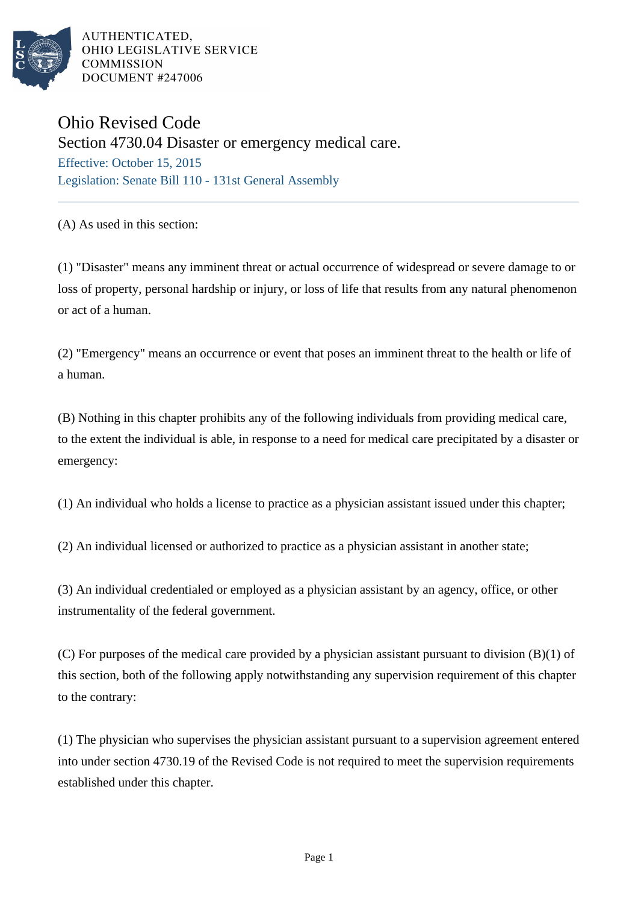

AUTHENTICATED. OHIO LEGISLATIVE SERVICE **COMMISSION DOCUMENT #247006** 

## Ohio Revised Code

Section 4730.04 Disaster or emergency medical care.

Effective: October 15, 2015 Legislation: Senate Bill 110 - 131st General Assembly

(A) As used in this section:

(1) "Disaster" means any imminent threat or actual occurrence of widespread or severe damage to or loss of property, personal hardship or injury, or loss of life that results from any natural phenomenon or act of a human.

(2) "Emergency" means an occurrence or event that poses an imminent threat to the health or life of a human.

(B) Nothing in this chapter prohibits any of the following individuals from providing medical care, to the extent the individual is able, in response to a need for medical care precipitated by a disaster or emergency:

(1) An individual who holds a license to practice as a physician assistant issued under this chapter;

(2) An individual licensed or authorized to practice as a physician assistant in another state;

(3) An individual credentialed or employed as a physician assistant by an agency, office, or other instrumentality of the federal government.

(C) For purposes of the medical care provided by a physician assistant pursuant to division (B)(1) of this section, both of the following apply notwithstanding any supervision requirement of this chapter to the contrary:

(1) The physician who supervises the physician assistant pursuant to a supervision agreement entered into under section 4730.19 of the Revised Code is not required to meet the supervision requirements established under this chapter.